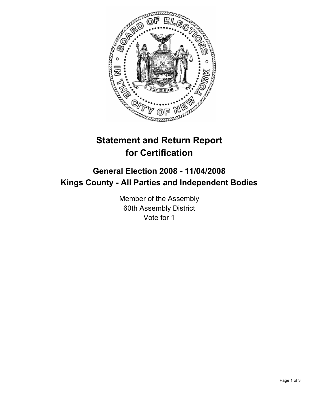

# **Statement and Return Report for Certification**

## **General Election 2008 - 11/04/2008 Kings County - All Parties and Independent Bodies**

Member of the Assembly 60th Assembly District Vote for 1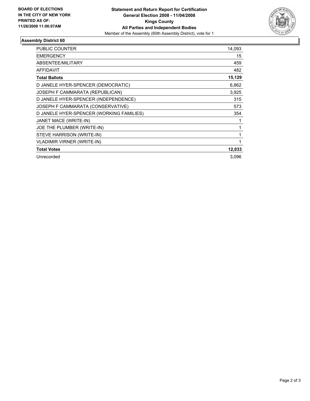

### **Assembly District 60**

| <b>PUBLIC COUNTER</b>                    | 14,093 |
|------------------------------------------|--------|
| <b>EMERGENCY</b>                         | 15     |
| ABSENTEE/MILITARY                        | 459    |
| <b>AFFIDAVIT</b>                         | 482    |
| <b>Total Ballots</b>                     | 15,129 |
| D JANELE HYER-SPENCER (DEMOCRATIC)       | 6,862  |
| JOSEPH F CAMMARATA (REPUBLICAN)          | 3,925  |
| D JANELE HYER-SPENCER (INDEPENDENCE)     | 315    |
| JOSEPH F CAMMARATA (CONSERVATIVE)        | 573    |
| D JANELE HYER-SPENCER (WORKING FAMILIES) | 354    |
| JANET MACE (WRITE-IN)                    |        |
| JOE THE PLUMBER (WRITE-IN)               |        |
| STEVE HARRISON (WRITE-IN)                |        |
| <b>VLADIMIR VIRNER (WRITE-IN)</b>        |        |
| <b>Total Votes</b>                       | 12,033 |
| Unrecorded                               | 3.096  |